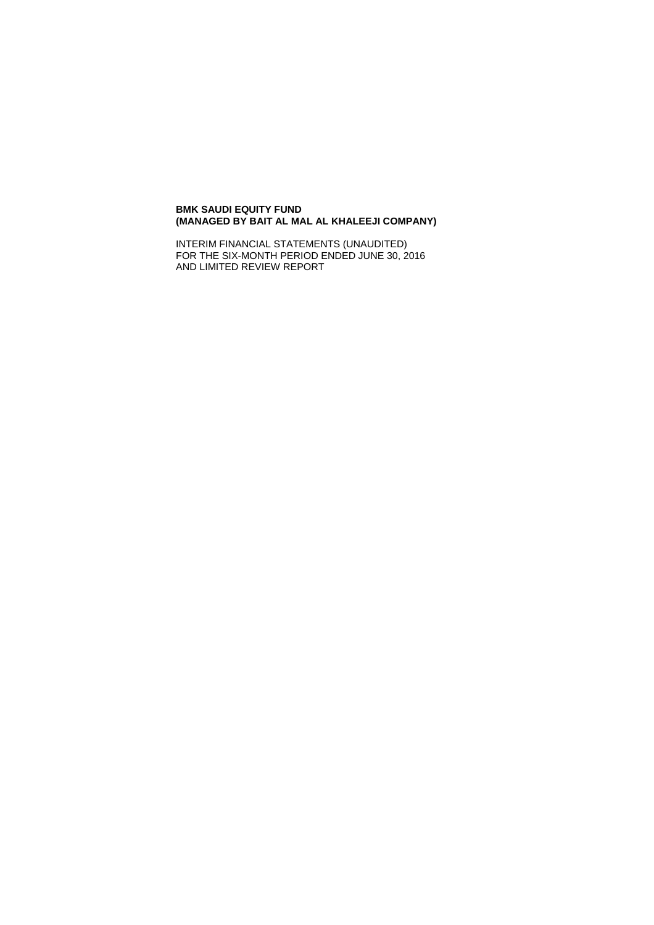## **BMK SAUDI EQUITY FUND (MANAGED BY BAIT AL MAL AL KHALEEJI COMPANY)**

INTERIM FINANCIAL STATEMENTS (UNAUDITED) FOR THE SIX-MONTH PERIOD ENDED JUNE 30, 2016 AND LIMITED REVIEW REPORT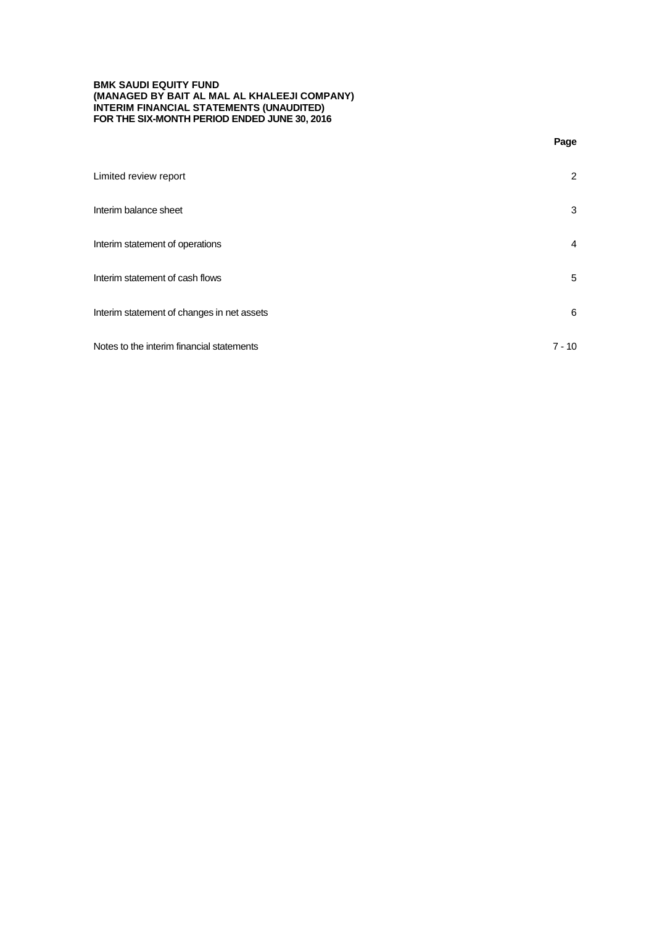## **BMK SAUDI EQUITY FUND (MANAGED BY BAIT AL MAL AL KHALEEJI COMPANY) INTERIM FINANCIAL STATEMENTS (UNAUDITED) FOR THE SIX-MONTH PERIOD ENDED JUNE 30, 2016**

**Page**

| Limited review report                      | 2        |
|--------------------------------------------|----------|
| Interim balance sheet                      | 3        |
| Interim statement of operations            | 4        |
| Interim statement of cash flows            | 5        |
| Interim statement of changes in net assets | 6        |
| Notes to the interim financial statements  | $7 - 10$ |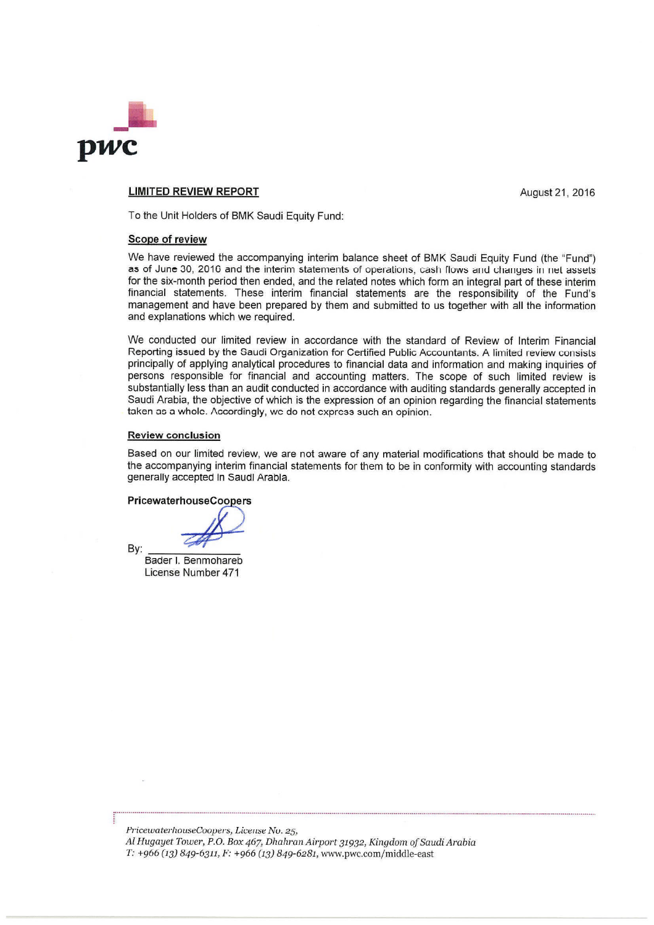

## **LIMITED REVIEW REPORT**

August 21, 2016

To the Unit Holders of BMK Saudi Equity Fund:

### Scope of review

We have reviewed the accompanying interim balance sheet of BMK Saudi Equity Fund (the "Fund") as of June 30, 2016 and the interim statements of operations, cash flows and changes in net assets for the six-month period then ended, and the related notes which form an integral part of these interim financial statements. These interim financial statements are the responsibility of the Fund's management and have been prepared by them and submitted to us together with all the information and explanations which we required.

We conducted our limited review in accordance with the standard of Review of Interim Financial Reporting issued by the Saudi Organization for Certified Public Accountants. A limited review consists principally of applying analytical procedures to financial data and information and making inquiries of persons responsible for financial and accounting matters. The scope of such limited review is substantially less than an audit conducted in accordance with auditing standards generally accepted in Saudi Arabia, the objective of which is the expression of an opinion regarding the financial statements taken as a whole. Accordingly, we do not express such an opinion.

#### **Review conclusion**

Based on our limited review, we are not aware of any material modifications that should be made to the accompanying interim financial statements for them to be in conformity with accounting standards generally accepted in Saudi Arabia.

**PricewaterhouseCoopers** 

Bader I. Benmohareb License Number 471

By:

PricewaterhouseCoopers, License No. 25, Al Hugayet Tower, P.O. Box 467, Dhahran Airport 31932, Kingdom of Saudi Arabia T: +966 (13) 849-6311, F: +966 (13) 849-6281, www.pwc.com/middle-east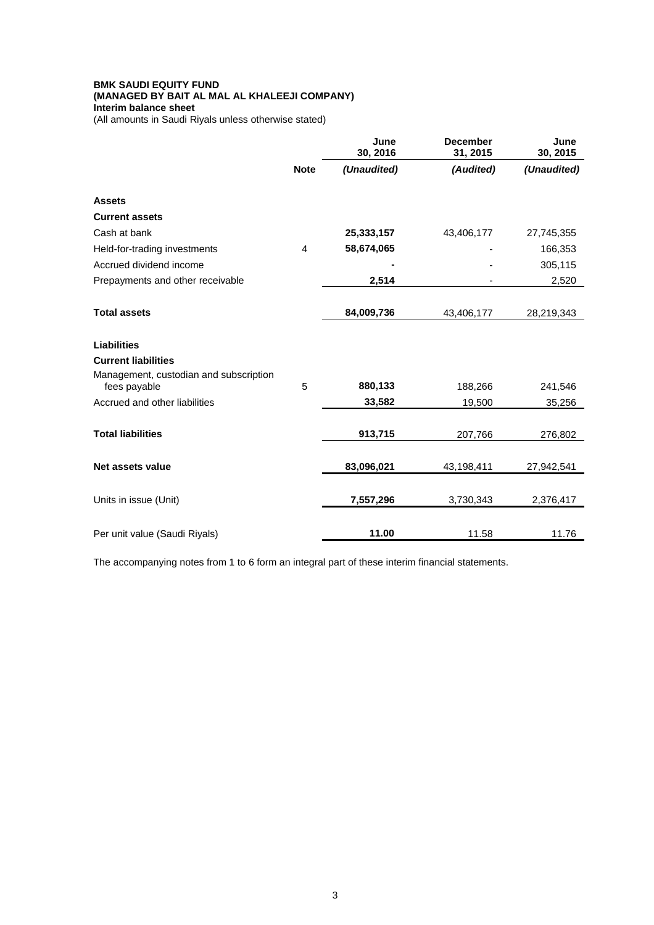# **BMK SAUDI EQUITY FUND (MANAGED BY BAIT AL MAL AL KHALEEJI COMPANY) Interim balance sheet**

(All amounts in Saudi Riyals unless otherwise stated)

|                                                        |                | June<br>30, 2016 | <b>December</b><br>31, 2015 | June<br>30, 2015 |
|--------------------------------------------------------|----------------|------------------|-----------------------------|------------------|
|                                                        | <b>Note</b>    | (Unaudited)      | (Audited)                   | (Unaudited)      |
| <b>Assets</b>                                          |                |                  |                             |                  |
| <b>Current assets</b>                                  |                |                  |                             |                  |
| Cash at bank                                           |                | 25,333,157       | 43,406,177                  | 27,745,355       |
| Held-for-trading investments                           | $\overline{4}$ | 58,674,065       |                             | 166,353          |
| Accrued dividend income                                |                |                  |                             | 305,115          |
| Prepayments and other receivable                       |                | 2,514            |                             | 2,520            |
| <b>Total assets</b>                                    |                |                  |                             |                  |
|                                                        |                | 84,009,736       | 43,406,177                  | 28,219,343       |
| <b>Liabilities</b>                                     |                |                  |                             |                  |
| <b>Current liabilities</b>                             |                |                  |                             |                  |
| Management, custodian and subscription<br>fees payable | 5              | 880,133          | 188,266                     | 241,546          |
| Accrued and other liabilities                          |                | 33,582           | 19,500                      | 35,256           |
|                                                        |                |                  |                             |                  |
| <b>Total liabilities</b>                               |                | 913,715          | 207,766                     | 276,802          |
| Net assets value                                       |                | 83,096,021       | 43,198,411                  | 27,942,541       |
| Units in issue (Unit)                                  |                | 7,557,296        | 3,730,343                   | 2,376,417        |
|                                                        |                |                  |                             |                  |
| Per unit value (Saudi Riyals)                          |                | 11.00            | 11.58                       | 11.76            |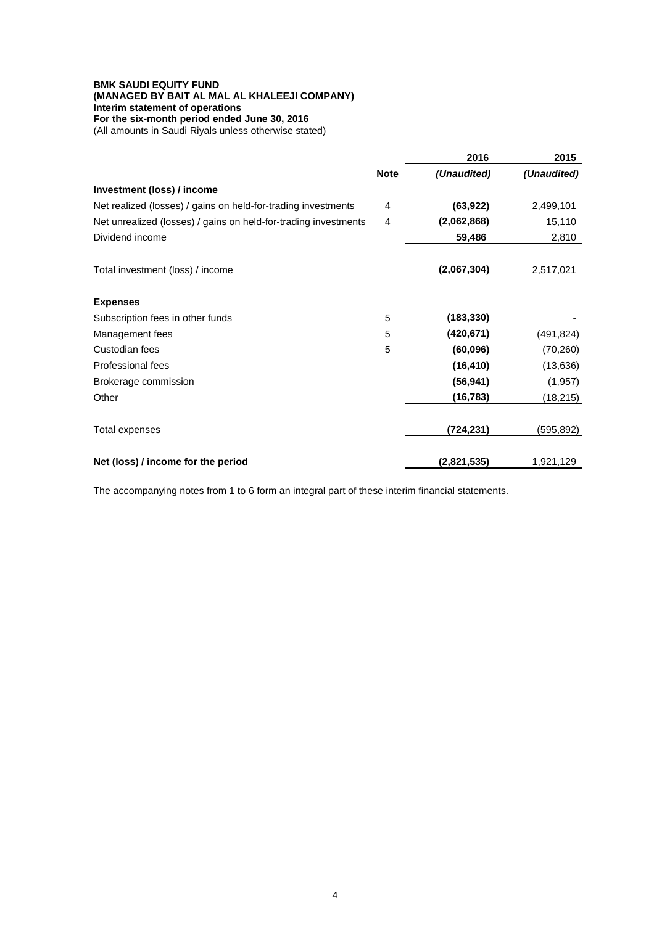# **BMK SAUDI EQUITY FUND (MANAGED BY BAIT AL MAL AL KHALEEJI COMPANY) Interim statement of operations For the six-month period ended June 30, 2016**

(All amounts in Saudi Riyals unless otherwise stated)

|                                                                 |             | 2016        | 2015        |
|-----------------------------------------------------------------|-------------|-------------|-------------|
|                                                                 | <b>Note</b> | (Unaudited) | (Unaudited) |
| Investment (loss) / income                                      |             |             |             |
| Net realized (losses) / gains on held-for-trading investments   | 4           | (63, 922)   | 2,499,101   |
| Net unrealized (losses) / gains on held-for-trading investments | 4           | (2,062,868) | 15,110      |
| Dividend income                                                 |             | 59,486      | 2,810       |
| Total investment (loss) / income                                |             | (2,067,304) | 2,517,021   |
| <b>Expenses</b>                                                 |             |             |             |
| Subscription fees in other funds                                | 5           | (183, 330)  |             |
| Management fees                                                 | 5           | (420, 671)  | (491, 824)  |
| Custodian fees                                                  | 5           | (60, 096)   | (70, 260)   |
| Professional fees                                               |             | (16, 410)   | (13, 636)   |
| Brokerage commission                                            |             | (56, 941)   | (1, 957)    |
| Other                                                           |             | (16, 783)   | (18, 215)   |
| Total expenses                                                  |             | (724, 231)  | (595,892)   |
| Net (loss) / income for the period                              |             | (2,821,535) | 1,921,129   |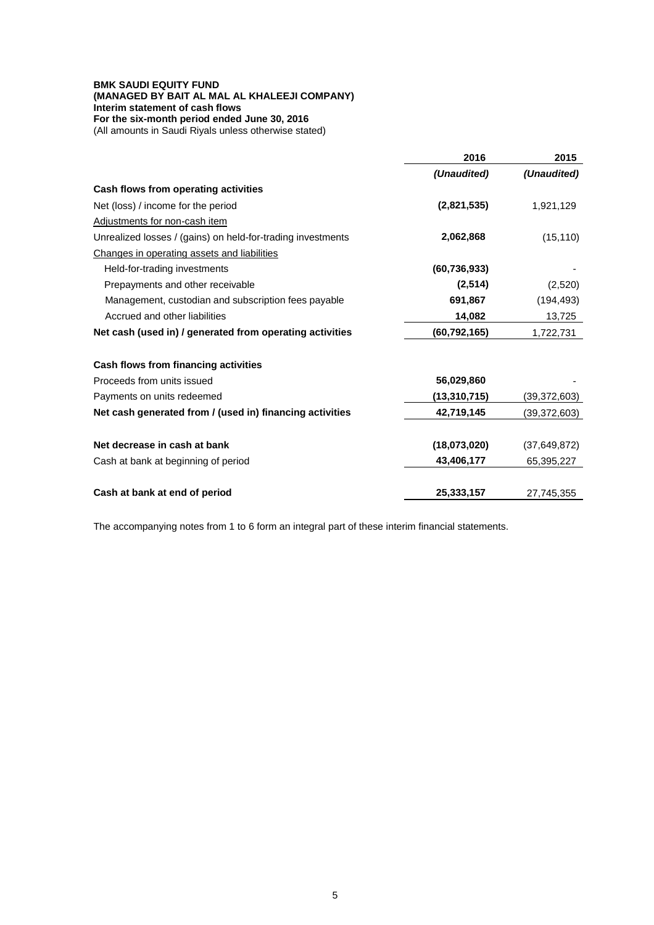# **BMK SAUDI EQUITY FUND (MANAGED BY BAIT AL MAL AL KHALEEJI COMPANY) Interim statement of cash flows For the six-month period ended June 30, 2016**

(All amounts in Saudi Riyals unless otherwise stated)

|                                                             | 2016           | 2015           |
|-------------------------------------------------------------|----------------|----------------|
|                                                             | (Unaudited)    | (Unaudited)    |
| Cash flows from operating activities                        |                |                |
| Net (loss) / income for the period                          | (2,821,535)    | 1,921,129      |
| Adjustments for non-cash item                               |                |                |
| Unrealized losses / (gains) on held-for-trading investments | 2,062,868      | (15, 110)      |
| Changes in operating assets and liabilities                 |                |                |
| Held-for-trading investments                                | (60, 736, 933) |                |
| Prepayments and other receivable                            | (2,514)        | (2,520)        |
| Management, custodian and subscription fees payable         | 691,867        | (194, 493)     |
| Accrued and other liabilities                               | 14,082         | 13,725         |
| Net cash (used in) / generated from operating activities    | (60, 792, 165) | 1,722,731      |
| Cash flows from financing activities                        |                |                |
| Proceeds from units issued                                  | 56,029,860     |                |
|                                                             |                |                |
| Payments on units redeemed                                  | (13,310,715)   | (39,372,603)   |
| Net cash generated from / (used in) financing activities    | 42,719,145     | (39,372,603)   |
| Net decrease in cash at bank                                | (18,073,020)   | (37, 649, 872) |
| Cash at bank at beginning of period                         | 43,406,177     | 65,395,227     |
| Cash at bank at end of period                               | 25,333,157     | 27,745,355     |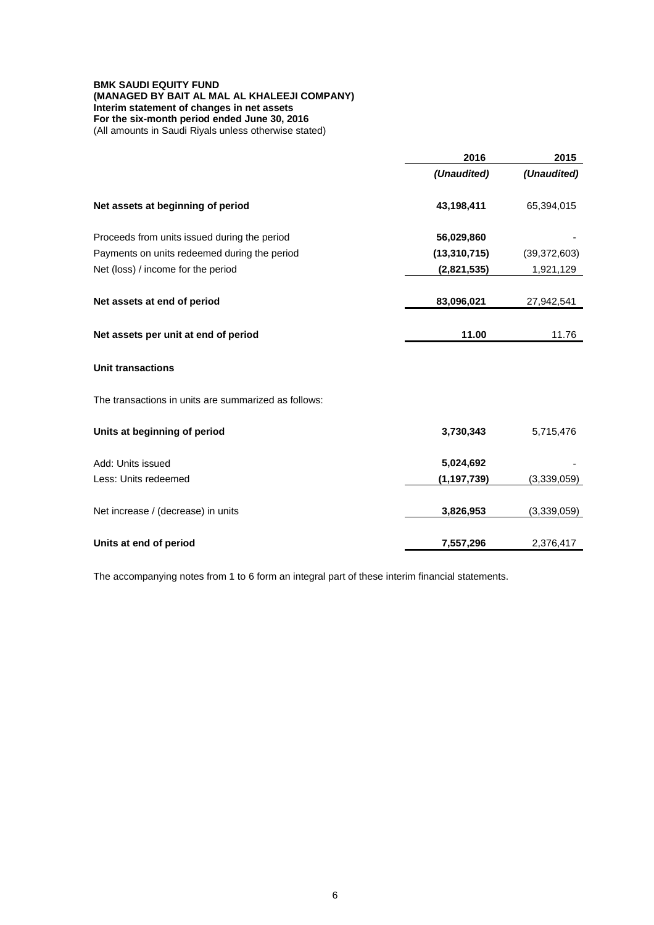# **BMK SAUDI EQUITY FUND (MANAGED BY BAIT AL MAL AL KHALEEJI COMPANY) Interim statement of changes in net assets For the six-month period ended June 30, 2016**

(All amounts in Saudi Riyals unless otherwise stated)

|                                                      | 2016           | 2015           |
|------------------------------------------------------|----------------|----------------|
|                                                      | (Unaudited)    | (Unaudited)    |
| Net assets at beginning of period                    | 43,198,411     | 65,394,015     |
| Proceeds from units issued during the period         | 56,029,860     |                |
| Payments on units redeemed during the period         | (13, 310, 715) | (39, 372, 603) |
| Net (loss) / income for the period                   | (2,821,535)    | 1,921,129      |
| Net assets at end of period                          | 83,096,021     | 27,942,541     |
| Net assets per unit at end of period                 | 11.00          | 11.76          |
| <b>Unit transactions</b>                             |                |                |
| The transactions in units are summarized as follows: |                |                |
| Units at beginning of period                         | 3,730,343      | 5,715,476      |
| Add: Units issued                                    | 5,024,692      |                |
| Less: Units redeemed                                 | (1, 197, 739)  | (3,339,059)    |
| Net increase / (decrease) in units                   | 3,826,953      | (3,339,059)    |
| Units at end of period                               | 7,557,296      | 2,376,417      |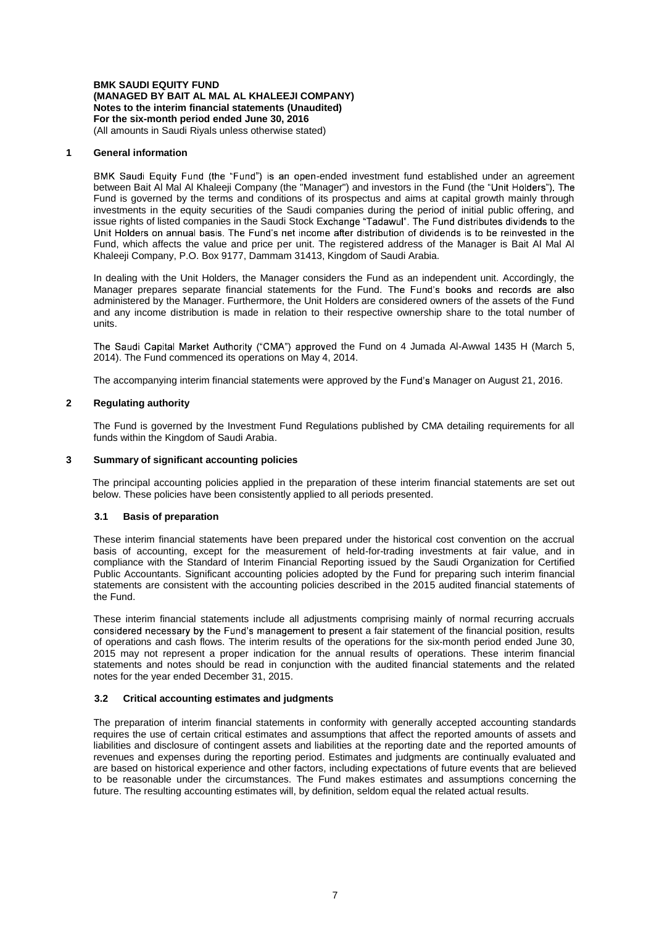# **BMK SAUDI EQUITY FUND (MANAGED BY BAIT AL MAL AL KHALEEJI COMPANY) Notes to the interim financial statements (Unaudited) For the six-month period ended June 30, 2016**

(All amounts in Saudi Riyals unless otherwise stated)

## **1 General information**

BMK Saudi Equity Fund (the "Fund") is an open-ended investment fund established under an agreement between Bait Al Mal Al Khaleeji Company (the "Manager") and investors in the Fund (the "Unit Holders"). The Fund is governed by the terms and conditions of its prospectus and aims at capital growth mainly through investments in the equity securities of the Saudi companies during the period of initial public offering, and issue rights of listed companies in the Saudi Stock Exchange "Tadawul". The Fund distributes dividends to the<br>Unit Holders on annual basis. The Fund's net income after distribution of dividends is to be reinvested in the Fund, which affects the value and price per unit. The registered address of the Manager is Bait Al Mal Al Khaleeji Company, P.O. Box 9177, Dammam 31413, Kingdom of Saudi Arabia.

In dealing with the Unit Holders, the Manager considers the Fund as an independent unit. Accordingly, the Manager prepares separate financial statements for the Fund. The Fund's books and records are also administered by the Manager. Furthermore, the Unit Holders are considered owners of the assets of the Fund and any income distribution is made in relation to their respective ownership share to the total number of units.

The Saudi Capital Market Authority ("CMA") approved the Fund on 4 Jumada Al-Awwal 1435 H (March 5, 2014). The Fund commenced its operations on May 4, 2014.

The accompanying interim financial statements were approved by the Fund's Manager on August 21, 2016.

# **2 Regulating authority**

The Fund is governed by the Investment Fund Regulations published by CMA detailing requirements for all funds within the Kingdom of Saudi Arabia.

## **3 Summary of significant accounting policies**

The principal accounting policies applied in the preparation of these interim financial statements are set out below. These policies have been consistently applied to all periods presented.

# **3.1 Basis of preparation**

These interim financial statements have been prepared under the historical cost convention on the accrual basis of accounting, except for the measurement of held-for-trading investments at fair value, and in compliance with the Standard of Interim Financial Reporting issued by the Saudi Organization for Certified Public Accountants. Significant accounting policies adopted by the Fund for preparing such interim financial statements are consistent with the accounting policies described in the 2015 audited financial statements of the Fund.

These interim financial statements include all adjustments comprising mainly of normal recurring accruals considered necessary by the Fund's management to present a fair statement of the financial position, results of operations and cash flows. The interim results of the operations for the six-month period ended June 30, 2015 may not represent a proper indication for the annual results of operations. These interim financial statements and notes should be read in conjunction with the audited financial statements and the related notes for the year ended December 31, 2015.

# **3.2 Critical accounting estimates and judgments**

The preparation of interim financial statements in conformity with generally accepted accounting standards requires the use of certain critical estimates and assumptions that affect the reported amounts of assets and liabilities and disclosure of contingent assets and liabilities at the reporting date and the reported amounts of revenues and expenses during the reporting period. Estimates and judgments are continually evaluated and are based on historical experience and other factors, including expectations of future events that are believed to be reasonable under the circumstances. The Fund makes estimates and assumptions concerning the future. The resulting accounting estimates will, by definition, seldom equal the related actual results.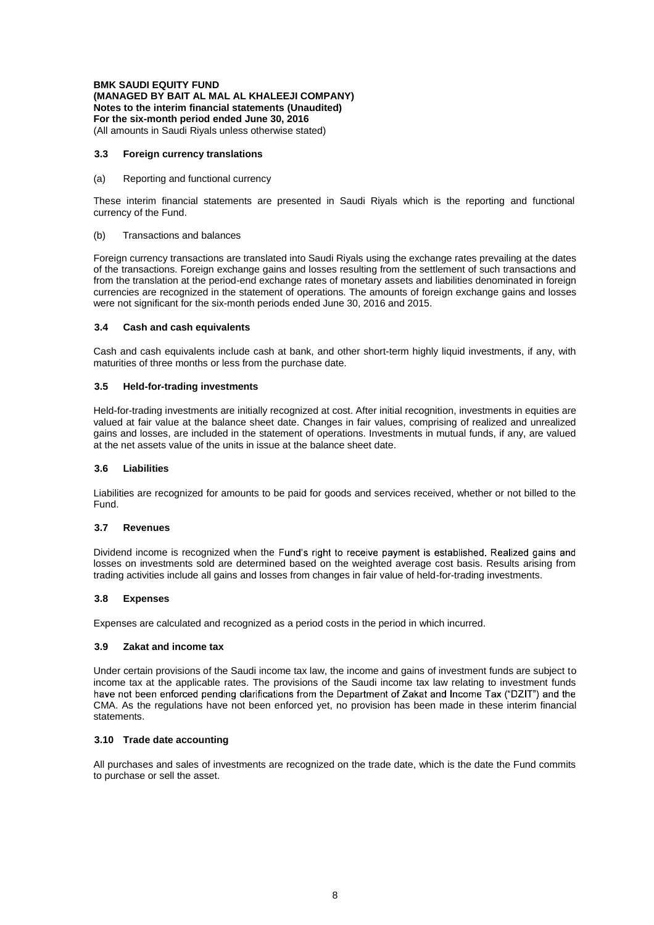**BMK SAUDI EQUITY FUND (MANAGED BY BAIT AL MAL AL KHALEEJI COMPANY) Notes to the interim financial statements (Unaudited) For the six-month period ended June 30, 2016**

(All amounts in Saudi Riyals unless otherwise stated)

### **3.3 Foreign currency translations**

#### (a) Reporting and functional currency

These interim financial statements are presented in Saudi Riyals which is the reporting and functional currency of the Fund.

#### (b) Transactions and balances

Foreign currency transactions are translated into Saudi Riyals using the exchange rates prevailing at the dates of the transactions. Foreign exchange gains and losses resulting from the settlement of such transactions and from the translation at the period-end exchange rates of monetary assets and liabilities denominated in foreign currencies are recognized in the statement of operations. The amounts of foreign exchange gains and losses were not significant for the six-month periods ended June 30, 2016 and 2015.

#### **3.4 Cash and cash equivalents**

Cash and cash equivalents include cash at bank, and other short-term highly liquid investments, if any, with maturities of three months or less from the purchase date.

#### **3.5 Held-for-trading investments**

Held-for-trading investments are initially recognized at cost. After initial recognition, investments in equities are valued at fair value at the balance sheet date. Changes in fair values, comprising of realized and unrealized gains and losses, are included in the statement of operations. Investments in mutual funds, if any, are valued at the net assets value of the units in issue at the balance sheet date.

### **3.6 Liabilities**

Liabilities are recognized for amounts to be paid for goods and services received, whether or not billed to the Fund.

#### **3.7 Revenues**

Dividend income is recognized when the Fund's right to receive payment is established. Realized gains and losses on investments sold are determined based on the weighted average cost basis. Results arising from trading activities include all gains and losses from changes in fair value of held-for-trading investments.

### **3.8 Expenses**

Expenses are calculated and recognized as a period costs in the period in which incurred.

### **3.9 Zakat and income tax**

Under certain provisions of the Saudi income tax law, the income and gains of investment funds are subject to income tax at the applicable rates. The provisions of the Saudi income tax law relating to investment funds<br>have not been enforced pending clarifications from the Department of Zakat and Income Tax ("DZIT") and the CMA. As the regulations have not been enforced yet, no provision has been made in these interim financial statements.

### **3.10 Trade date accounting**

All purchases and sales of investments are recognized on the trade date, which is the date the Fund commits to purchase or sell the asset.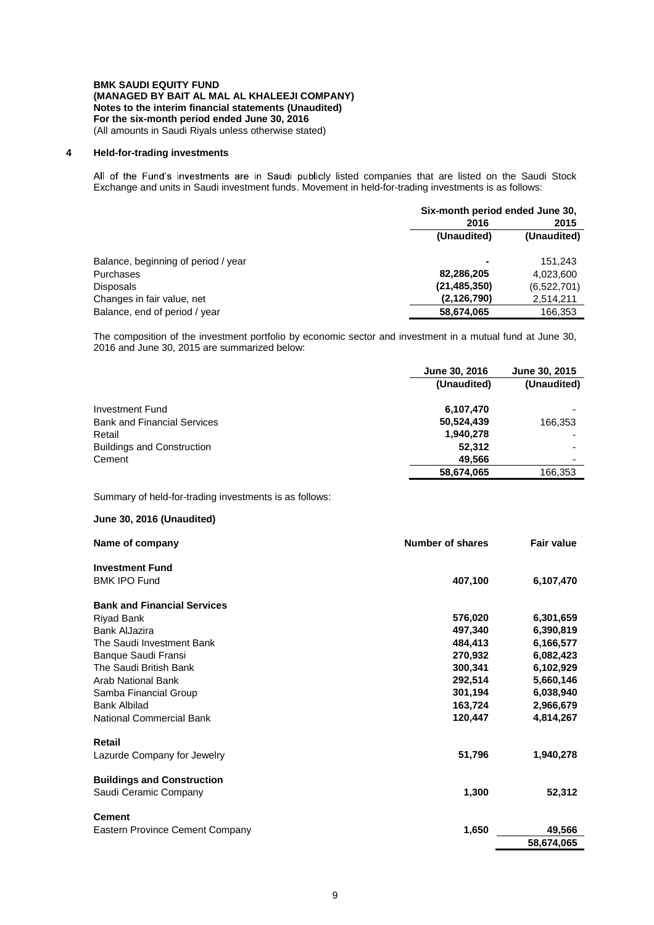### **BMK SAUDI EQUITY FUND (MANAGED BY BAIT AL MAL AL KHALEEJI COMPANY) Notes to the interim financial statements (Unaudited) For the six-month period ended June 30, 2016** (All amounts in Saudi Riyals unless otherwise stated)

## **4 Held-for-trading investments**

All of the Fund's investments are in Saudi publicly listed companies that are listed on the Saudi Stock Exchange and units in Saudi investment funds. Movement in held-for-trading investments is as follows:

|                                     | Six-month period ended June 30, |             |
|-------------------------------------|---------------------------------|-------------|
|                                     | 2016                            | 2015        |
|                                     | (Unaudited)                     | (Unaudited) |
| Balance, beginning of period / year | $\blacksquare$                  | 151.243     |
| Purchases                           | 82,286,205                      | 4,023,600   |
| <b>Disposals</b>                    | (21, 485, 350)                  | (6,522,701) |
| Changes in fair value, net          | (2, 126, 790)                   | 2,514,211   |
| Balance, end of period / year       | 58,674,065                      | 166.353     |

The composition of the investment portfolio by economic sector and investment in a mutual fund at June 30, 2016 and June 30, 2015 are summarized below:

|                                    | June 30, 2016 | June 30, 2015            |
|------------------------------------|---------------|--------------------------|
|                                    | (Unaudited)   | (Unaudited)              |
| Investment Fund                    | 6,107,470     |                          |
| <b>Bank and Financial Services</b> | 50,524,439    | 166,353                  |
| Retail                             | 1,940,278     |                          |
| <b>Buildings and Construction</b>  | 52,312        | -                        |
| Cement                             | 49,566        | $\overline{\phantom{0}}$ |
|                                    | 58,674,065    | 166,353                  |

Summary of held-for-trading investments is as follows:

# **June 30, 2016 (Unaudited)**

| Name of company                    | Number of shares | <b>Fair value</b> |
|------------------------------------|------------------|-------------------|
| <b>Investment Fund</b>             |                  |                   |
| <b>BMK IPO Fund</b>                | 407,100          | 6,107,470         |
| <b>Bank and Financial Services</b> |                  |                   |
| <b>Riyad Bank</b>                  | 576,020          | 6,301,659         |
| Bank AlJazira                      | 497,340          | 6,390,819         |
| The Saudi Investment Bank          | 484,413          | 6,166,577         |
| Banque Saudi Fransi                | 270,932          | 6,082,423         |
| The Saudi British Bank             | 300,341          | 6,102,929         |
| Arab National Bank                 | 292,514          | 5,660,146         |
| Samba Financial Group              | 301,194          | 6,038,940         |
| <b>Bank Albilad</b>                | 163,724          | 2,966,679         |
| <b>National Commercial Bank</b>    | 120,447          | 4,814,267         |
| Retail                             |                  |                   |
| Lazurde Company for Jewelry        | 51,796           | 1,940,278         |
| <b>Buildings and Construction</b>  |                  |                   |
| Saudi Ceramic Company              | 1,300            | 52,312            |
| <b>Cement</b>                      |                  |                   |
| Eastern Province Cement Company    | 1,650            | 49,566            |
|                                    |                  | 58,674,065        |